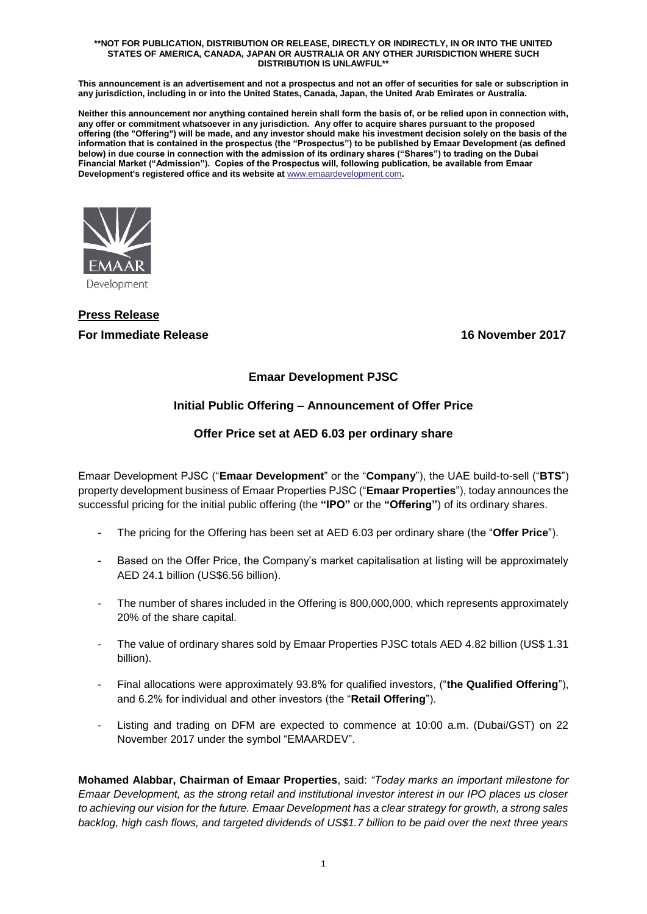#### **\*\*NOT FOR PUBLICATION, DISTRIBUTION OR RELEASE, DIRECTLY OR INDIRECTLY, IN OR INTO THE UNITED STATES OF AMERICA, CANADA, JAPAN OR AUSTRALIA OR ANY OTHER JURISDICTION WHERE SUCH DISTRIBUTION IS UNLAWFUL\*\***

**This announcement is an advertisement and not a prospectus and not an offer of securities for sale or subscription in any jurisdiction, including in or into the United States, Canada, Japan, the United Arab Emirates or Australia.**

**Neither this announcement nor anything contained herein shall form the basis of, or be relied upon in connection with, any offer or commitment whatsoever in any jurisdiction. Any offer to acquire shares pursuant to the proposed offering (the "Offering") will be made, and any investor should make his investment decision solely on the basis of the information that is contained in the prospectus (the "Prospectus") to be published by Emaar Development (as defined below) in due course in connection with the admission of its ordinary shares ("Shares") to trading on the Dubai Financial Market ("Admission"). Copies of the Prospectus will, following publication, be available from Emaar Development's registered office and its website at** [www.emaardevelopment.com](http://www.emaardevelopment.com/)**.**



# **Press Release For Immediate Release 16 November 2017**

## **Emaar Development PJSC**

## **Initial Public Offering – Announcement of Offer Price**

## **Offer Price set at AED 6.03 per ordinary share**

Emaar Development PJSC ("**Emaar Development**" or the "**Company**"), the UAE build-to-sell ("**BTS**") property development business of Emaar Properties PJSC ("**Emaar Properties**"), today announces the successful pricing for the initial public offering (the **"IPO"** or the **"Offering"**) of its ordinary shares.

- The pricing for the Offering has been set at AED 6.03 per ordinary share (the "**Offer Price**").
- Based on the Offer Price, the Company's market capitalisation at listing will be approximately AED 24.1 billion (US\$6.56 billion).
- The number of shares included in the Offering is 800,000,000, which represents approximately 20% of the share capital.
- The value of ordinary shares sold by Emaar Properties PJSC totals AED 4.82 billion (US\$ 1.31 billion).
- Final allocations were approximately 93.8% for qualified investors, ("**the Qualified Offering**"), and 6.2% for individual and other investors (the "**Retail Offering**").
- Listing and trading on DFM are expected to commence at 10:00 a.m. (Dubai/GST) on 22 November 2017 under the symbol "EMAARDEV".

**Mohamed Alabbar, Chairman of Emaar Properties**, said: *"Today marks an important milestone for Emaar Development, as the strong retail and institutional investor interest in our IPO places us closer to achieving our vision for the future. Emaar Development has a clear strategy for growth, a strong sales backlog, high cash flows, and targeted dividends of US\$1.7 billion to be paid over the next three years*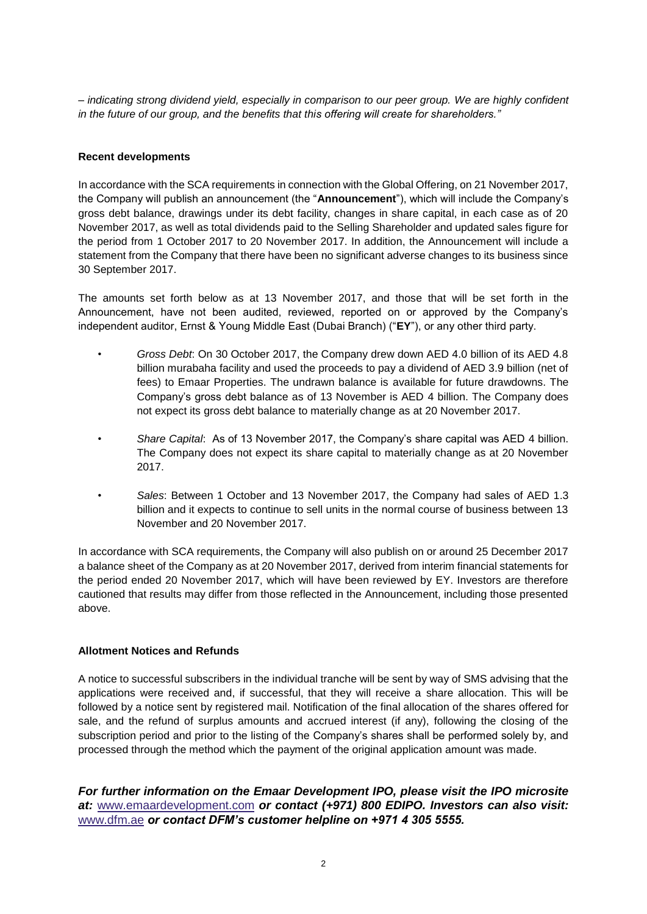*– indicating strong dividend yield, especially in comparison to our peer group. We are highly confident in the future of our group, and the benefits that this offering will create for shareholders."*

## **Recent developments**

In accordance with the SCA requirements in connection with the Global Offering, on 21 November 2017, the Company will publish an announcement (the "**Announcement**"), which will include the Company's gross debt balance, drawings under its debt facility, changes in share capital, in each case as of 20 November 2017, as well as total dividends paid to the Selling Shareholder and updated sales figure for the period from 1 October 2017 to 20 November 2017. In addition, the Announcement will include a statement from the Company that there have been no significant adverse changes to its business since 30 September 2017.

The amounts set forth below as at 13 November 2017, and those that will be set forth in the Announcement, have not been audited, reviewed, reported on or approved by the Company's independent auditor, Ernst & Young Middle East (Dubai Branch) ("**EY**"), or any other third party.

- *Gross Debt*: On 30 October 2017, the Company drew down AED 4.0 billion of its AED 4.8 billion murabaha facility and used the proceeds to pay a dividend of AED 3.9 billion (net of fees) to Emaar Properties. The undrawn balance is available for future drawdowns. The Company's gross debt balance as of 13 November is AED 4 billion. The Company does not expect its gross debt balance to materially change as at 20 November 2017.
- *Share Capital*: As of 13 November 2017, the Company's share capital was AED 4 billion. The Company does not expect its share capital to materially change as at 20 November 2017.
- *Sales*: Between 1 October and 13 November 2017, the Company had sales of AED 1.3 billion and it expects to continue to sell units in the normal course of business between 13 November and 20 November 2017.

In accordance with SCA requirements, the Company will also publish on or around 25 December 2017 a balance sheet of the Company as at 20 November 2017, derived from interim financial statements for the period ended 20 November 2017, which will have been reviewed by EY. Investors are therefore cautioned that results may differ from those reflected in the Announcement, including those presented above.

### **Allotment Notices and Refunds**

A notice to successful subscribers in the individual tranche will be sent by way of SMS advising that the applications were received and, if successful, that they will receive a share allocation. This will be followed by a notice sent by registered mail. Notification of the final allocation of the shares offered for sale, and the refund of surplus amounts and accrued interest (if any), following the closing of the subscription period and prior to the listing of the Company's shares shall be performed solely by, and processed through the method which the payment of the original application amount was made.

*For further information on the Emaar Development IPO, please visit the IPO microsite at:* [www.emaardevelopment.com](http://www.emaardevelopment.com/) *or contact (+971) 800 EDIPO. Investors can also visit:*  [www.dfm.ae](http://www.dfm.ae/) *or contact DFM's customer helpline on +971 4 305 5555.*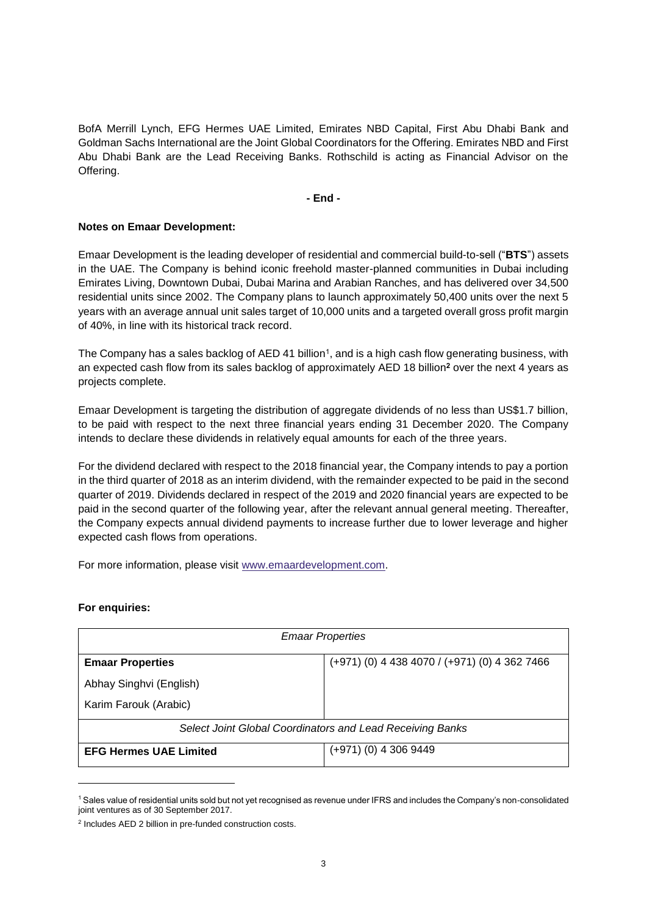BofA Merrill Lynch, EFG Hermes UAE Limited, Emirates NBD Capital, First Abu Dhabi Bank and Goldman Sachs International are the Joint Global Coordinators for the Offering. Emirates NBD and First Abu Dhabi Bank are the Lead Receiving Banks. Rothschild is acting as Financial Advisor on the Offering.

**- End -**

#### **Notes on Emaar Development:**

Emaar Development is the leading developer of residential and commercial build-to-sell ("**BTS**") assets in the UAE. The Company is behind iconic freehold master-planned communities in Dubai including Emirates Living, Downtown Dubai, Dubai Marina and Arabian Ranches, and has delivered over 34,500 residential units since 2002. The Company plans to launch approximately 50,400 units over the next 5 years with an average annual unit sales target of 10,000 units and a targeted overall gross profit margin of 40%, in line with its historical track record.

The Company has a sales backlog of AED 41 billion<sup>1</sup>, and is a high cash flow generating business, with an expected cash flow from its sales backlog of approximately AED 18 billion**<sup>2</sup>** over the next 4 years as projects complete.

Emaar Development is targeting the distribution of aggregate dividends of no less than US\$1.7 billion, to be paid with respect to the next three financial years ending 31 December 2020. The Company intends to declare these dividends in relatively equal amounts for each of the three years.

For the dividend declared with respect to the 2018 financial year, the Company intends to pay a portion in the third quarter of 2018 as an interim dividend, with the remainder expected to be paid in the second quarter of 2019. Dividends declared in respect of the 2019 and 2020 financial years are expected to be paid in the second quarter of the following year, after the relevant annual general meeting. Thereafter, the Company expects annual dividend payments to increase further due to lower leverage and higher expected cash flows from operations.

For more information, please visit [www.emaardevelopment.com.](http://www.emaardevelopment.com/)

#### **For enquiries:**

 $\overline{a}$ 

| <b>Emaar Properties</b>                                   |                                                   |
|-----------------------------------------------------------|---------------------------------------------------|
| <b>Emaar Properties</b>                                   | $(+971)$ (0) 4 438 4070 / $(+971)$ (0) 4 362 7466 |
| Abhay Singhvi (English)                                   |                                                   |
| Karim Farouk (Arabic)                                     |                                                   |
| Select Joint Global Coordinators and Lead Receiving Banks |                                                   |
| <b>EFG Hermes UAE Limited</b>                             | $(+971)$ (0) 4 306 9449                           |

<sup>1</sup> Sales value of residential units sold but not yet recognised as revenue under IFRS and includes the Company's non-consolidated joint ventures as of 30 September 2017.

<sup>&</sup>lt;sup>2</sup> Includes AED 2 billion in pre-funded construction costs.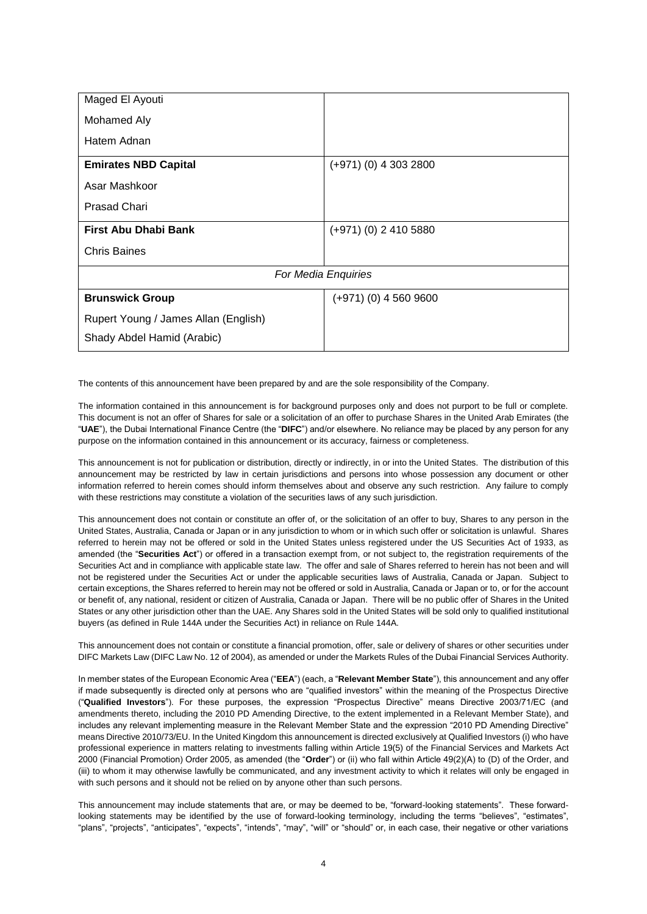| Maged El Ayouti                      |                         |
|--------------------------------------|-------------------------|
| Mohamed Aly                          |                         |
| Hatem Adnan                          |                         |
| <b>Emirates NBD Capital</b>          | $(+971)$ (0) 4 303 2800 |
| Asar Mashkoor                        |                         |
| <b>Prasad Chari</b>                  |                         |
| First Abu Dhabi Bank                 | $(+971)$ (0) 2 410 5880 |
| <b>Chris Baines</b>                  |                         |
| For Media Enquiries                  |                         |
| <b>Brunswick Group</b>               | $(+971)$ (0) 4 560 9600 |
| Rupert Young / James Allan (English) |                         |
| Shady Abdel Hamid (Arabic)           |                         |

The contents of this announcement have been prepared by and are the sole responsibility of the Company.

The information contained in this announcement is for background purposes only and does not purport to be full or complete. This document is not an offer of Shares for sale or a solicitation of an offer to purchase Shares in the United Arab Emirates (the "**UAE**"), the Dubai International Finance Centre (the "**DIFC**") and/or elsewhere. No reliance may be placed by any person for any purpose on the information contained in this announcement or its accuracy, fairness or completeness.

This announcement is not for publication or distribution, directly or indirectly, in or into the United States. The distribution of this announcement may be restricted by law in certain jurisdictions and persons into whose possession any document or other information referred to herein comes should inform themselves about and observe any such restriction. Any failure to comply with these restrictions may constitute a violation of the securities laws of any such jurisdiction.

This announcement does not contain or constitute an offer of, or the solicitation of an offer to buy, Shares to any person in the United States, Australia, Canada or Japan or in any jurisdiction to whom or in which such offer or solicitation is unlawful. Shares referred to herein may not be offered or sold in the United States unless registered under the US Securities Act of 1933, as amended (the "**Securities Act**") or offered in a transaction exempt from, or not subject to, the registration requirements of the Securities Act and in compliance with applicable state law. The offer and sale of Shares referred to herein has not been and will not be registered under the Securities Act or under the applicable securities laws of Australia, Canada or Japan. Subject to certain exceptions, the Shares referred to herein may not be offered or sold in Australia, Canada or Japan or to, or for the account or benefit of, any national, resident or citizen of Australia, Canada or Japan. There will be no public offer of Shares in the United States or any other jurisdiction other than the UAE. Any Shares sold in the United States will be sold only to qualified institutional buyers (as defined in Rule 144A under the Securities Act) in reliance on Rule 144A.

This announcement does not contain or constitute a financial promotion, offer, sale or delivery of shares or other securities under DIFC Markets Law (DIFC Law No. 12 of 2004), as amended or under the Markets Rules of the Dubai Financial Services Authority.

In member states of the European Economic Area ("**EEA**") (each, a "**Relevant Member State**"), this announcement and any offer if made subsequently is directed only at persons who are "qualified investors" within the meaning of the Prospectus Directive ("**Qualified Investors**"). For these purposes, the expression "Prospectus Directive" means Directive 2003/71/EC (and amendments thereto, including the 2010 PD Amending Directive, to the extent implemented in a Relevant Member State), and includes any relevant implementing measure in the Relevant Member State and the expression "2010 PD Amending Directive" means Directive 2010/73/EU. In the United Kingdom this announcement is directed exclusively at Qualified Investors (i) who have professional experience in matters relating to investments falling within Article 19(5) of the Financial Services and Markets Act 2000 (Financial Promotion) Order 2005, as amended (the "**Order**") or (ii) who fall within Article 49(2)(A) to (D) of the Order, and (iii) to whom it may otherwise lawfully be communicated, and any investment activity to which it relates will only be engaged in with such persons and it should not be relied on by anyone other than such persons.

This announcement may include statements that are, or may be deemed to be, "forward-looking statements". These forwardlooking statements may be identified by the use of forward-looking terminology, including the terms "believes", "estimates", "plans", "projects", "anticipates", "expects", "intends", "may", "will" or "should" or, in each case, their negative or other variations